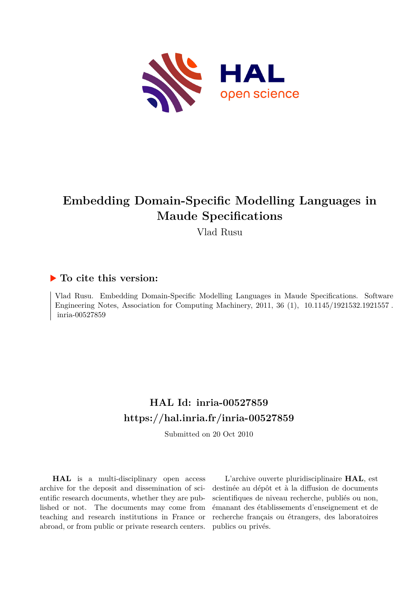

# **Embedding Domain-Specific Modelling Languages in Maude Specifications**

Vlad Rusu

## **To cite this version:**

Vlad Rusu. Embedding Domain-Specific Modelling Languages in Maude Specifications. Software Engineering Notes, Association for Computing Machinery, 2011, 36  $(1)$ ,  $10.1145/1921532.1921557$ . inria-00527859

# **HAL Id: inria-00527859 <https://hal.inria.fr/inria-00527859>**

Submitted on 20 Oct 2010

**HAL** is a multi-disciplinary open access archive for the deposit and dissemination of scientific research documents, whether they are published or not. The documents may come from teaching and research institutions in France or abroad, or from public or private research centers.

L'archive ouverte pluridisciplinaire **HAL**, est destinée au dépôt et à la diffusion de documents scientifiques de niveau recherche, publiés ou non, émanant des établissements d'enseignement et de recherche français ou étrangers, des laboratoires publics ou privés.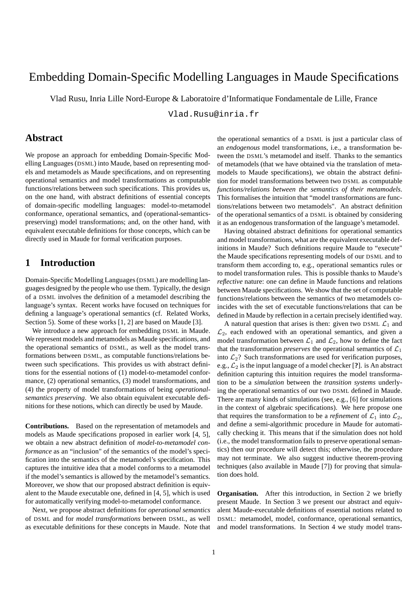## Embedding Domain-Specific Modelling Languages in Maude Specifications

Vlad Rusu, Inria Lille Nord-Europe & Laboratoire d'Informatique Fondamentale de Lille, France

Vlad.Rusu@inria.fr

## **Abstract**

We propose an approach for embedding Domain-Specific Modelling Languages (DSML) into Maude, based on representing models and metamodels as Maude specifications, and on representing operational semantics and model transformations as computable functions/relations between such specifications. This provides us, on the one hand, with abstract definitions of essential concepts of domain-specific modelling languages: model-to-metamodel conformance, operational semantics, and (operational-semanticspreserving) model transformations; and, on the other hand, with equivalent executable definitions for those concepts, which can be directly used in Maude for formal verification purposes.

## **1 Introduction**

Domain-Specific Modelling Languages (DSML) are modelling languages designed by the people who use them. Typically, the design of a DSML involves the definition of a metamodel describing the language's syntax. Recent works have focused on techniques for defining a language's operational semantics (cf. Related Works, Section 5). Some of these works [1, 2] are based on Maude [3].

We introduce a new approach for embedding DSML in Maude. We represent models and metamodels as Maude specifications, and the operational semantics of DSML, as well as the model transformations between DSML, as computable functions/relations between such specifications. This provides us with abstract definitions for the essential notions of (1) model-to-metamodel conformance, (2) operational semantics, (3) model transformations, and (4) the property of model transformations of being *operationalsemantics preserving*. We also obtain equivalent executable definitions for these notions, which can directly be used by Maude.

**Contributions.** Based on the representation of metamodels and models as Maude specifications proposed in earlier work [4, 5], we obtain a new abstract definition of *model-to-metamodel conformance* as an "inclusion" of the semantics of the model's specification into the semantics of the metamodel's specification. This captures the intuitive idea that a model conforms to a metamodel if the model's semantics is allowed by the metamodel's semantics. Moreover, we show that our proposed abstract definition is equivalent to the Maude executable one, defined in [4, 5], which is used for automatically verifying model-to-metamodel conformance.

Next, we propose abstract definitions for *operational semantics* of DSML and for *model transformations* between DSML, as well as executable definitions for these concepts in Maude. Note that the operational semantics of a DSML is just a particular class of an *endogenous* model transformations, i.e., a transformation between the DSML's metamodel and itself. Thanks to the semantics of metamodels (that we have obtained via the translation of metamodels to Maude specifications), we obtain the abstract definition for model transformations between two DSML as computable *functions/relations between the semantics of their metamodels*. This formalises the intuition that "model transformations are functions/relations between two metamodels". An abstract definition of the operational semantics of a DSML is obtained by considering it as an endogenous transformation of the language's metamodel.

Having obtained abstract definitions for operational semantics and model transformations, what are the equivalent executable definitions in Maude? Such definitions require Maude to "execute" the Maude specifications representing models of our DSML and to transform them according to, e.g., operational semantics rules or to model transformation rules. This is possible thanks to Maude's *reflective* nature: one can define in Maude functions and relations between Maude specifications. We show that the set of computable functions/relations between the semantics of two metamodels coincides with the set of executable functions/relations that can be defined in Maude by reflection in a certain precisely identified way.

A natural question that arises is then: given two DSML  $\mathcal{L}_1$  and  $\mathcal{L}_2$ , each endowed with an operational semantics, and given a model transformation between  $\mathcal{L}_1$  and  $\mathcal{L}_2$ , how to define the fact that the transformation *preserves* the operational semantics of  $\mathcal{L}_1$ into  $\mathcal{L}_2$ ? Such transformations are used for verification purposes, e.g., L<sup>2</sup> is the input language of a model checker [**?**]. is An abstract definition capturing this intuition requires the model transformation to be a *simulation* between the *transition systems* underlying the operational semantics of our two DSML defined in Maude. There are many kinds of simulations (see, e.g., [6] for simulations in the context of algebraic specifications). We here propose one that requires the transformation to be a *refinement* of  $\mathcal{L}_1$  into  $\mathcal{L}_2$ , and define a semi-algorithmic procedure in Maude for automatically checking it. This means that if the simulation does not hold (i.e., the model transformation fails to preserve operational semantics) then our procedure will detect this; otherwise, the procedure may not terminate. We also suggest inductive theorem-proving techniques (also available in Maude [7]) for proving that simulation does hold.

**Organisation.** After this introduction, in Section 2 we briefly present Maude. In Section 3 we present our abstract and equivalent Maude-executable definitions of essential notions related to DSML: metamodel, model, conformance, operational semantics, and model transformations. In Section 4 we study model trans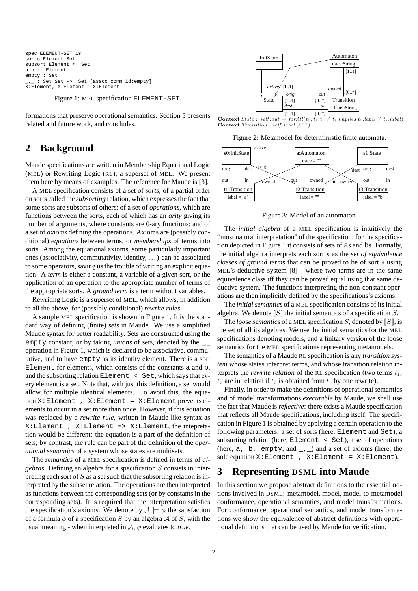spec ELEMENT-SET is sorts Element Set subsort Element < Set a b : Element empty : Set \_,\_ : Set Set -> Set [assoc comm id:empty] X:Element, X:Element = X:Element

Figure 1: MEL specification ELEMENT-SET.

formations that preserve operational semantics. Section 5 presents related and future work, and concludes.

## **2 Background**

Maude specifications are written in Membership Equational Logic (MEL) or Rewriting Logic (RL), a superset of MEL. We present them here by means of examples. The reference for Maude is [3].

A MEL specification consists of a set of *sorts*; of a partial order on sorts called the *subsorting* relation, which expresses the fact that some sorts are subsorts of others; of a set of *operations*, which are functions between the sorts, each of which has an *arity* giving its number of arguments, where constants are 0-ary functions; and of a set of *axioms* defining the operations. Axioms are (possibly conditional) *equations* between terms, or *memberships* of terms into sorts. Among the equational axioms, some particularly important ones (associativity, commutativity, identity, . . . ) can be associated to some operators, saving us the trouble of writing an explicit equation. A *term* is either a constant, a variable of a given sort, or the application of an operation to the appropriate number of terms of the appropriate sorts. A *ground term* is a term without variables.

Rewriting Logic is a superset of MEL, which allows, in addition to all the above, for (possibly conditional) *rewrite rules*.

A sample MEL specification is shown in Figure 1. It is the standard way of defining (finite) *sets* in Maude. We use a simplified Maude syntax for better readability. Sets are constructed using the empty constant, or by taking *unions* of sets, denoted by the operation in Figure 1, which is declared to be associative, commutative, and to have empty as its identity element. There is a sort Element for elements, which consists of the constants a and b, and the subsorting relation Element < Set, which says that every element is a set. Note that, with just this definition, a set would allow for multiple identical elements. To avoid this, the equation X:Element , X:Element = X:Element prevents elements to occur in a set more than once. However, if this equation was replaced by a *rewrite rule*, written in Maude-like syntax as X:Element , X:Element => X:Element, the intepretation would be different: the equation is a part of the definition of sets; by contrast, the rule can be part of the definition of the *operational semantics* of a system whose states are multisets.

The *semantics* of a MEL specification is defined in terms of *algebras*. Defining an algebra for a specification S consists in interpreting each sort of  $S$  as a set such that the subsorting relation is interpreted by the subset relation. The operations are then interpreted as functions between the corresponding sets (or by constants in the corresponding sets). It is required that the interpretation satisfies the specification's axioms. We denote by  $A \models \phi$  the satisfaction of a formula  $\phi$  of a specification S by an algebra A of S, with the usual meaning - when interpreted in  $\mathcal{A}$ ,  $\phi$  evaluates to *true*.



**Context** State : self. out  $\rightarrow$  for All $(t_1, t_2 | t_1 \neq t_2$  implies  $t_1$  . label  $\neq t_2$  . label) Context  $\mathit{Transition}$  :  $\mathit{self}. \mathit{label} \neq$  "

Figure 2: Metamodel for deterministic finite automata.



Figure 3: Model of an automaton.

The *initial algebra* of a MEL specification is intuitively the "most natural interpretation" of the specification; for the specification depicted in Figure 1 it consists of sets of as and bs. Formally, the initial algebra interprets each sort s as the *set of equivalence classes of ground terms* that can be proved to be of sort s using MEL's deductive system [8] - where two terms are in the same equivalence class iff they can be proved equal using that same deductive system. The functions interpreting the non-constant operations are then implicitly defined by the specifications's axioms.

The *initial semantics* of a MEL specification consists of its initial algebra. We denote  $|S|$  the initial semantics of a specification S.

The *loose semantics* of a MEL specification  $S$ , denoted by  $\llbracket S \rrbracket$ , is the set of all its algebras. We use the initial semantics for the MEL specifications denoting models, and a finitary version of the loose semantics for the MEL specifications representing metamodels.

The semantics of a Maude RL specification is any *transition system* whose states interpret terms, and whose transition relation interprets the *rewrite relation* of the RL specification (two terms  $t_1$ ,  $t_2$  are in relation if  $t_2$  is obtained from  $t_1$  by one rewrite).

Finally, in order to make the definitions of operational semantics and of model transformations *executable* by Maude, we shall use the fact that Maude is *reflective*: there exists a Maude specification that reflects all Maude specifications, including itself. The specification in Figure 1 is obtained by applying a certain operation to the following parameters: a set of sorts (here, Element and Set), a subsorting relation (here, Element < Set), a set of operations (here,  $a$ ,  $b$ , empty, and  $\overline{\phantom{a}}$ ,  $\overline{\phantom{a}}$ ) and a set of axioms (here, the sole equation X: Element , X: Element = X: Element).

## **3 Representing DSML into Maude**

In this section we propose abstract definitions to the essential notions involved in DSML: metamodel, model, model-to-metamodel conformance, operational semantics, and model transformations. For conformance, operational semantics, and model transformations we show the equivalence of abstract definitions with operational definitions that can be used by Maude for verification.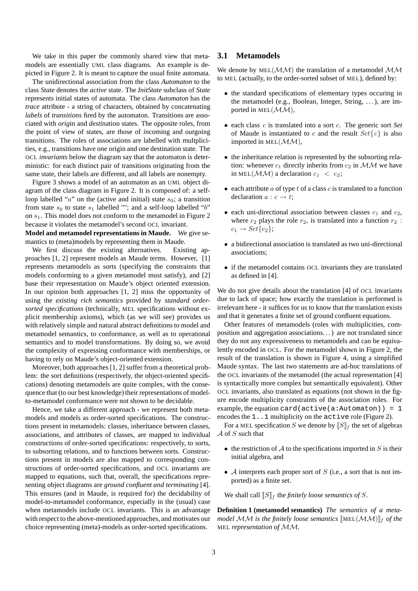We take in this paper the commonly shared view that metamodels are essentially UML class diagrams. An example is depicted in Figure 2. It is meant to capture the usual finite automata.

The unidirectional association from the class *Automaton* to the class *State* denotes the *active* state. The *InitState* subclass of *State* represents initial states of automata. The class *Automaton* has the *trace* attribute - a string of characters, obtained by concatenating *labels* of *transitions* fired by the automaton. Transitions are associated with *orig*in and *desti*nation states. The opposite roles, from the point of view of states, are those of *in*coming and *out*going transitions. The roles of associations are labelled with multplicities, e.g., transitions have one origin and one destination state. The OCL *invariants* below the diagram say that the automaton is deterministic: for each distinct pair of transitions originating from the same state, their labels are different, and all labels are nonempty.

Figure 3 shows a model of an automaton as an UML object diagram of the class diagram in Figure 2. It is composed of: a selfloop labelled "a" on the (active and initial) state  $s_0$ ; a transition from state  $s_0$  to state  $s_1$  labelled ""; and a self-loop labelled "b" on  $s<sub>1</sub>$ . This model does not conform to the metamodel in Figure 2 because it violates the metamodel's second OCL invariant. **Model and metamodel representations in Maude.** We give semantics to (meta)models by representing them in Maude.

We first discuss the existing alternatives. Existing approaches [1, 2] represent models as Maude terms. However, [1] represents metamodels as sorts (specifying the constraints that models conforming to a given metamodel must satisfy), and [2] base their representation on Maude's object oriented extension. In our opinion both approaches [1, 2] miss the opportunity of using the *existing rich semantics* provided by *standard ordersorted specifications* (technically, MEL specifications without explicit membership axioms), which (as we will see) provides us with relatively simple and natural abstract definitions to model and metamodel semantics, to conformance, as well as to operational semantics and to model transformations. By doing so, we avoid the complexity of expressing conformance with memberships, or having to rely on Maude's object-oriented extension.

Moreover, both approaches [1, 2] suffer from a theoretical problem: the sort definitions (respectively, the object-oriented specifications) denoting metamodels are quite complex, with the consequence that (to our best knowledge) their representations of modelto-metamodel conformance were not shown to be decidable.

Hence, we take a different approach - we represent both metamodels and models as order-sorted specifications. The constructions present in metamodels: classes, inheritance between classes, associations, and attributes of classes, are mapped to individual constructions of order-sorted specifications: respectively, to sorts, to subsorting relations, and to functions between sorts. Constructions present in models are also mapped to corresponding constructions of order-sorted specifications, and OCL invariants are mapped to equations, such that, overall, the specifications representing object diagrams are *ground confluent and terminating* [4]. This ensures (and in Maude, is required for) the decidability of model-to-metamodel conformance, especially in the (usual) case when metamodels include OCL invariants. This is an advantage with respect to the above-mentioned approaches, and motivates our choice representing (meta)-models as order-sorted specifications.

#### **3.1 Metamodels**

We denote by  $MEL(MM)$  the translation of a metamodel  $MM$ to MEL (actually, to the order-sorted subset of MEL), defined by:

- the standard specifications of elementary types occuring in the metamodel (e.g., Boolean, Integer, String, ...), are imported in MEL $(\mathcal{MM})$ ,
- each class c is translated into a sort c. The generic sort *Set* of Maude is instantiated to c and the result  $Set\{c\}$  is also imported in MEL $(\mathcal{M}\mathcal{M})$ ,
- the inheritance relation is represented by the subsorting relation: whenever  $c_1$  directly inherits from  $c_2$  in  $\mathcal{MM}$  we have in MEL( $MM$ ) a declaration  $c_1 < c_2$ ;
- each attribute a of type t of a class c is translated to a function declaration  $a: c \rightarrow t$ ;
- each uni-directional association between classes  $c_1$  and  $c_2$ , where  $c_2$  plays the role  $r_2$ , is translated into a function  $r_2$ :  $c_1 \rightarrow Set\{c_2\};$
- a bidirectional association is translated as two uni-directional associations;
- if the metamodel contains OCL invariants they are translated as defined in [4].

We do not give details about the translation [4] of OCL invariants due to lack of space; how exactly the translation is performed is irrelevant here - it suffices for us to know that the translation exists and that it generates a finite set of ground confluent equations.

Other features of metamodels (roles with multiplicities, composition and aggregation associations. . . ) are not translated since they do not any expressiveness to metamodels and can be equivalently encoded in OCL. For the metamodel shown in Figure 2, the result of the translation is shown in Figure 4, using a simplified Maude syntax. The last two statements are ad-hoc translations of the OCL invariants of the metamodel (the actual representation [4] is syntactically more complex but semantically equivalent). Other OCL invariants, also translated as equations (not shown in the figure encode multiplicity constraints of the association roles. For example, the equation card(active(a:Automaton)) =  $1$ encodes the 1..1 multiplicity on the active role (Figure 2).

For a MEL specification  $S$  we denote by  $[\![S]\!]_f$  the set of algebras  $A$  of  $S$  such that

- the restriction of  $A$  to the specifications imported in  $S$  is their initial algebra, and
- $A$  interprets each proper sort of  $S$  (i.e., a sort that is not imported) as a finite set.

We shall call  $[\![S]\!]_f$  the *finitely loose semantics of* S.

**Definition 1 (metamodel semantics)** *The semantics of a metamodel*  $MM$  *is the finitely loose semantics*  $[\text{MEL}(MM)]_f$  *of the* MEL *representation of* MM*.*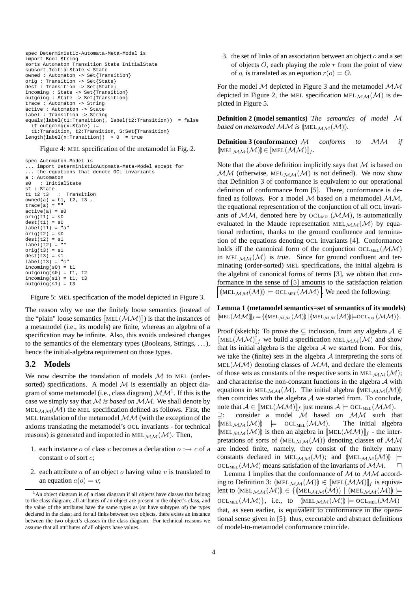```
spec Deterministic-Automata-Meta-Model is
import Bool String
sorts Automaton Transition State InitialState
subsort InitialState < State
owned : Automaton -> Set{Transition}
orig : Transition -> Set{State}
dest : Transition -> Set{State}
incoming : State -> Set{Transition}
outgoing : State -> Set{Transition}
trace : Automaton -> String
active : Automaton -> State
label : Transition -> String
equals(label(t1:Transition), label(t2:Transition)) = false
  if outgoing(x:State) :=
  t1:Transition, t2:Transition, S:Set{Transition}
length(label(x:Transition)) > 0 = true
```
#### Figure 4: MEL specification of the metamodel in Fig. 2.

```
spec Automaton-Model is
   import DeterministicAutomata-Meta-Model except for
... the equations that denote OCL invariants
a : Automaton<br>s0 : Initia
   : InitialState
s1 : State<br>t1 t2 t3
           : Transition
owned(a) = t1, t2, t3.
trace(a) = ""active(a) = s0orig(t1) = s0dest(t1) = s0label(t1) = "a"orig(t2) = s0dest(t2) = s1label(t2) =orig(t3) = s1dest(t3) = s1label(t3) = "c"incoming(s0) = t1
outgoing(s0) = t1, t2incomina(s1) = t1, t3outgoing(s1) = t3
```
Figure 5: MEL specification of the model depicted in Figure 3.

The reason why we use the finitely loose semantics (instead of the "plain" loose semantics  $[\text{MEL}(\mathcal{M}\mathcal{M})])$  is that the instances of a metamodel (i.e., its models) are finite, whereas an algebra of a specification may be infinite. Also, this avoids undesired changes to the semantics of the elementary types (Booleans, Strings, . . . ), hence the initial-algebra requirement on those types.

### **3.2 Models**

We now describe the translation of models  $M$  to MEL (ordersorted) specifications. A model  $M$  is essentially an object diagram of some metamodel (i.e., class diagram)  $\mathcal{MM}^1$ . If this is the case we simply say that M *is based on* MM. We shall denote by  $MEL_{\mathcal{M}\mathcal{M}}(\mathcal{M})$  the MEL specification defined as follows. First, the MEL translation of the metamodel  $MM$  (with the exception of the axioms translating the metamodel's OCL invariants - for technical reasons) is generated and imported in MEL $_{\mathcal{MM}}(\mathcal{M})$ . Then,

- 1. each instance o of class c becomes a declaration  $o : \rightarrow c$  of a constant *o* of sort *c*;
- 2. each attribute  $\alpha$  of an object  $\alpha$  having value  $\upsilon$  is translated to an equation  $a(o) = v$ ;

3. the set of links of an association between an object  $o$  and a set of objects  $O$ , each playing the role r from the point of view of *o*, is translated as an equation  $r(o) = O$ .

For the model M depicted in Figure 3 and the metamodel MM depicted in Figure 2, the MEL specification MEL $_{\mathcal{M}\mathcal{M}}(\mathcal{M})$  is depicted in Figure 5.

**Definition 2 (model semantics)** *The semantics of model* M *based on metamodel MM is*  $|\text{MELMM}(M)|$ *.* 

**Definition 3 (conformance)** M *conforms to* MM *if*  $\langle \text{MEL}_{\mathcal{M}\mathcal{M}}(\mathcal{M}) \rangle \rangle \in [\text{MEL}(\mathcal{M}\mathcal{M})]_f.$ 

Note that the above definition implicitly says that  $M$  is based on  $MM$  (otherwise, MEL $_{MM}(M)$  is not defined). We now show that Definition 3 of conformance is equivalent to our operational definition of conformance from [5]. There, conformance is defined as follows. For a model  $M$  based on a metamodel  $MM$ , the equational representation of the conjunction of all OCL invariants of  $MM$ , denoted here by OCL<sub>MEL</sub>  $(MM)$ , is automatically evaluated in the Maude representation MEL $_{\mathcal{M}\mathcal{M}}(\mathcal{M})$  by equational reduction, thanks to the ground confluence and termination of the equations denoting OCL invariants [4]. Conformance holds iff the canonical form of the conjunction  $OCL<sub>MEL</sub>( $\mathcal{M}\mathcal{M}$ )$ in MEL<sub>MM</sub>( $M$ ) is *true*. Since for ground confluent and terminating (order-sorted) MEL specifications, the initial algebra is the algebra of canonical forms of terms [3], we obtain that conformance in the sense of [5] amounts to the satisfaction relation  $(\text{MEL}_{\text{MM}}(\mathcal{M})) \models \text{OCL}_{\text{MEL}}(\mathcal{M}\mathcal{M})$ . We need the following:

**Lemma 1 (metamodel semantics=set of semantics of its models)**  $[\text{MEL}(\mathcal{MM})]_f = \{(\text{MEL}_{\mathcal{MM}}(\mathcal{M})) | (\text{MEL}_{\mathcal{MM}}(\mathcal{M}))|=\text{OCL}_{\text{MEL}}(\mathcal{MM})\}.$ 

Proof (sketch): To prove the  $\subseteq$  inclusion, from any algebra  $A \in$  $[\![\texttt{MEL}(\mathcal{M}\mathcal{M})\!]_f$  we build a specification  $\texttt{MEL}_{\mathcal{M}\mathcal{M}}(\mathcal{M})$  and show that its initial algebra is the algebra  $A$  we started from. For this, we take the (finite) sets in the algebra  $A$  interpreting the sorts of  $MEL(MM)$  denoting classes of  $MM$ , and declare the elements of those sets as constants of the respective sorts in MEL<sub>MM</sub> $(M)$ ; and characterise the non-constant functions in the algebra A with equations in MEL $_{\mathcal{MM}}(\mathcal{M})$ . The initial algebra (MEL $_{\mathcal{MM}}(\mathcal{M})$ ) then coincides with the algebra  $A$  we started from. To conclude, note that  $\mathcal{A}\in \llbracket \textsf{MEL}(\mathcal{M}\mathcal{M})\rrbracket_f$  just means  $\mathcal{A}\models \textsf{OCL}_{\textsf{MEL}}(\mathcal{M}\mathcal{M}).$ 

consider a model  $M$  based on  $MM$  such that  $|\text{MEL}_{\mathcal{M}\mathcal{M}}(\mathcal{M})|\$   $\models$  OCL<sub>MEL</sub> ( $\mathcal{M}\mathcal{M}$ ). The initial algebra  $\text{[MEL}_{\text{MM}}(\mathcal{M})$  is then an algebra in  $\text{[MEL}(M\mathcal{M})]_f$  - the interpretations of sorts of  $[MEL_{M,M}(M)]$  denoting classes of MM are indeed finite, namely, they consist of the finitely many constants declared in MEL $_{\mathcal{MM}}(\mathcal{M})$ ; and  $(\mathbb{MEL}_{\mathcal{MM}}(\mathcal{M}))$  = OCL<sub>MEL</sub> (MM) means satisfation of the invariants of MM.  $\Box$ 

Lemma 1 implies that the conformance of  $M$  to  $MM$  according to Definition 3:  $\langle \text{MEL}_{\mathcal{M}\mathcal{M}}(\mathcal{M}) \rangle$   $\in \llbracket \text{MEL}(\mathcal{M}\mathcal{M}) \rrbracket_f$  is equivalent to  $(\text{MEL}_{\mathcal{MM}}(\mathcal{M})) \in \{(\text{MEL}_{\mathcal{MM}}(\mathcal{M})) \mid (\text{MEL}_{\mathcal{MM}}(\mathcal{M})) \models$  $OCL_{MEL}(\mathcal{MM})$ , i.e., to  $|\text{MEL}_{\mathcal{MM}}(\mathcal{M})|$   $\models OCL_{MEL}(\mathcal{MM})$ that, as seen earlier, is equivalent to conformance in the operational sense given in [5]: thus, executable and abstract definitions of model-to-metamodel conformance coincide.

<sup>&</sup>lt;sup>1</sup>An object diagram is *of* a class diagram if all objects have classes that belong to the class diagram; all atributes of an object are present in the object's class, and the value of the attributes have the same types as (or have subtypes of) the types declared in the class; and for all links between two objects, there exists an instance between the two object's classes in the class diagram. For technical reasons we assume that all attributes of all objects have values.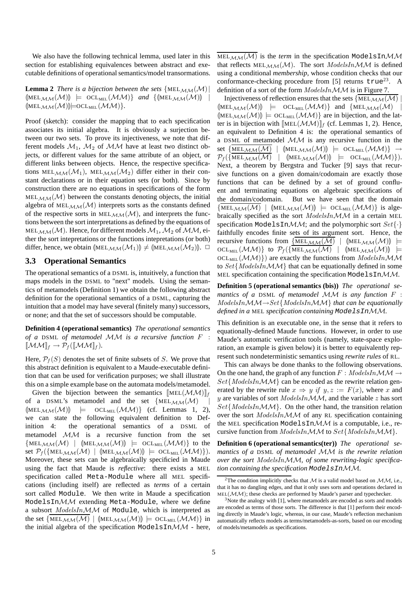We also have the following technical lemma, used later in this section for establishing equivalences between abstract and executable definitions of operational semantics/model transormations.

**Lemma 2** *There is a bijection between the sets*  ${MEL_{MM}(M)}$  $|\text{MEL}_{\text{MM}}(\mathcal{M})|\geq OCL_{\text{MEL}}(\mathcal{M}\mathcal{M})\}|$  *and*  $\{|\text{MEL}_{\mathcal{M}\mathcal{M}}(\mathcal{M})|\}$  $[MEL_{MM}(M)] = OCL_{MEL}(MM)$ <sup>2</sup>.

Proof (sketch): consider the mapping that to each specification associates its initial algebra. It is obviously a surjection between our two sets. To prove its injectiveness, we note that different models  $M_1$ ,  $M_2$  of  $MM$  have at least two distinct objects, or different values for the same attribute of an object, or different links between objects. Hence, the respective specifications MEL $_{\mathcal{MM}}(\mathcal{M}_1)$ , MEL $_{\mathcal{MM}}(\mathcal{M}_2)$  differ either in their constant declarations or in their equation sets (or both). Since by construction there are no equations in specifications of the form MEL $_{\mathcal{M}\mathcal{M}}(\mathcal{M})$  between the constants denoting objects, the initial algebra of  $MEL_{MM}(M)$  interprets sorts as the constants defined of the respective sorts in  $MEL_{\mathcal{MM}}(\mathcal{M})$ , and interprets the functions between the sort interpretations as defined by the equations of MEL  $_{\mathcal{M}\mathcal{M}}(\mathcal{M})$ . Hence, for different models  $\mathcal{M}_1$ ,  $\mathcal{M}_2$  of  $\mathcal{M}\mathcal{M}$ , either the sort intepretations or the functions intepretations (or both) differ, hence, we obtain  $(\text{MEL}_{\text{MM}}(\mathcal{M}_1)) \neq (\text{MEL}_{\text{MM}}(\mathcal{M}_2))$ .  $\Box$ 

#### **3.3 Operational Semantics**

The operational semantics of a DSML is, intuitively, a function that maps models in the DSML to "next" models. Using the semantics of metamodels (Definition 1) we obtain the following abstract definition for the operational semantics of a DSML, capturing the intuition that a model may have several (finitely many) successors, or none; and that the set of successors should be computable.

**Definition 4 (operational semantics)** *The operational semantics of a* DSML *of metamodel* MM *is a recursive function* F :  $[\![\mathcal{M}\mathcal{M}]\!]_f \rightarrow \mathcal{P}_f([\![\mathcal{M}\mathcal{M}]\!]_f).$ 

Here,  $\mathcal{P}_f(S)$  denotes the set of finite subsets of S. We prove that this abstract definition is equivalent to a Maude-executable definition that can be used for verification purposes; we shall illustrate this on a simple example base on the automata models/metamodel.

Given the bijection between the semantics  $[\text{MEL}(\mathcal{M}\mathcal{M})]_f$ of a DSML's metamodel and the set  $\{MEL_{MM}(M)\}$  $[MEL_{\mathcal{MM}}(\mathcal{M})] \models$  OCL<sub>MEL</sub>  $(\mathcal{MM})$  (cf. Lemmas 1, 2), we can state the following equivalent definition to Definition 4: the operational semantics of a DSML of metamodel MM is a recursive function from the set  $\{MEL_{\mathcal{MM}}(\mathcal{M}) \mid \phi\in\mathcal{ML}_{\mathcal{MM}}(\mathcal{M})\}$  to the set  $\mathcal{P}_f(\{\text{MEL}_{\mathcal{M}\mathcal{M}}(\mathcal{M})\mid \|\text{MEL}_{\mathcal{M}\mathcal{M}}(\mathcal{M})\}|) \models \text{OCL}_{\text{MEL}}(\mathcal{M}\mathcal{M})\}).$ Moreover, these sets can be algebraically specificied in Maude using the fact that Maude is *reflective*: there exists a MEL specification called Meta-Module where all MEL specifications (including itself) are reflected as *terms* of a certain sort called Module. We then write in Maude a specification ModelsInMM extending Meta-Module, where we define a subsort ModelsInMM of Module, which is interpreted as the set  $\{\overline{\text{MEL}_{MM}(M)} \mid \text{MEL}_{MM}(M)\}$  = OCL<sub>MEL</sub>  $(MM)$  in the initial algebra of the specification ModelsIn $M/M$  - here,  $MEL_{MM}(M)$  is the *term* in the specification ModelsIn $MM$ that reflects MEL<sub>MM</sub>(M). The sort *ModelsInMM* is defined using a conditional *membership*, whose condition checks that our conformance-checking procedure from [5] returns  $true^{23}$ . A definition of a sort of the form  $ModelsInMM$  is in Figure 7.

Injectiveness of reflection ensures that the sets  $\{\overline{\text{MEL}_{MM}(M)}\}$  $|\text{MEL}_{\mathcal{MM}}(\mathcal{M})|\rangle$  = OCL<sub>MEL</sub>  $(\mathcal{MM})\}$  and  $\{\text{MEL}_{\mathcal{MM}}(\mathcal{M})\}$  $(\text{MEL}_{\text{MM}}(\mathcal{M})) \models \text{OCL}_{\text{MEL}}(\mathcal{M}\mathcal{M})$  are in bijection, and the latter is in bijection with  $\left[\text{MEL}(\mathcal{M}\mathcal{M})\right]_f$  (cf. Lemmas 1, 2). Hence, an equivalent to Definition 4 is: the operational semantics of a DSML of metamodel  $MM$  is any recursive function in the set  $\{MEL_{\mathcal{MM}}(\mathcal{M}) \mid \langle MEL_{\mathcal{MM}}(\mathcal{M})\rangle\}$   $\rightarrow$  $\mathcal{P}_f(\{\overline{\text{MEL}_{\mathcal{M}\mathcal{M}}(\mathcal{M})}\mid \text{MEL}_{\mathcal{M}\mathcal{M}}(\mathcal{M})\}) = \text{OCL}_{\text{MEL}}(\mathcal{M}\mathcal{M})\}).$ Next, a theorem by Bergstra and Tucker [9] says that recursive functions on a given domain/codomain are exactly those functions that can be defined by a set of ground confluent and terminating equations on algebraic specifications of the domain/codomain. But we have seen that the domain  $\{\overline{\text{MEL}_{\mathcal{M}\mathcal{M}}(\mathcal{M})}\}\$ is algebraically specified as the sort ModelsInMM in a certain MEL specification ModelsIn $M\mathcal{M}$ ; and the polymorphic sort  $Set\{\cdot\}$ faithfully encodes finite sets of its argument sort. Hence, the recursive functions from  $\{\overline{\text{MEL}_{\mathcal{MM}}(\mathcal{M})} \mid (\text{MEL}_{\mathcal{MM}}(\mathcal{M})) \models$  $\mathrm{OCL}_{\mathrm{MEL}}(\mathcal{MM})\}$  to  $\mathcal{P}_{f}(\{\overline{\mathrm{MEL}_{\mathcal{MM}}(\mathcal{M})}\}\mid \{\mathrm{MEL}_{\mathcal{MM}}(\mathcal{M})\}\models$  $OCL_{MFL}(\mathcal{M}\mathcal{M})$  are exactly the functions from  $\text{ModelsIn}\mathcal{M}\mathcal{M}$ to  $Set{ModelsInMM}$  that can be equationally defined in some MEL specification containing the specification ModelsInMM.

**Definition 5 (operational semantics (bis))** *The operational semantics of a* DSML *of metamodel* MM *is any function* F : ModelsInMM→Set{ModelsInMM} *that can be equationally defined in a* MEL *specification containing* ModelsInMM*.*

This definition is an executable one, in the sense that it refers to equationally-defined Maude functions. However, in order to use Maude's automatic verification tools (namely, state-space exploration, an example is given below) it is better to equivalently represent such nondeterministic semantics using *rewrite rules* of RL.

This can always be done thanks to the following observations. On the one hand, the graph of any function  $F : \textit{ModelsInMM} \rightarrow$  $Set\{ModelsInMM\}$  can be encoded as the rewrite relation generated by the rewrite rule  $x \Rightarrow y$  if  $y, z := F(x)$ , where x and y are variables of sort  $\textit{ModelsInMM}$ , and the variable z has sort  $Set{ModelsInMM}$ . On the other hand, the transition relation over the sort  $\textit{ModelsInMM}$  of any RL specification containing the MEL specification ModelsIn $MM$  is a computable, i.e., recursive function from  $ModelsInMM$  to  $Set{ModelsInMM}$ .

**Definition 6 (operational semantics(ter))** *The operational semantics of a* DSML *of metamodel* MM *is the rewrite relation over the sort* ModelsInMM*, of some rewriting-logic specification containing the specification* ModelsInMM*.*

<sup>&</sup>lt;sup>2</sup>The condition implicitly checks that M is a valid model based on  $MM$ , i.e., that it has no dangling edges, and that it only uses sorts and operations declared in  $MEL(\mathcal{MM})$ ; these checks are performed by Maude's parser and typechecker.

 $3^3$ Note the analogy with [1], where metamodels are encoded as sorts and models are encoded as terms of those sorts. The difference is that [1] perform their encoding directly in Maude's logic, whereas, in our case, Maude's reflection mechanism automatically reflects models as terms/metamodels-as-sorts, based on our encoding of models/metamodels as specifications.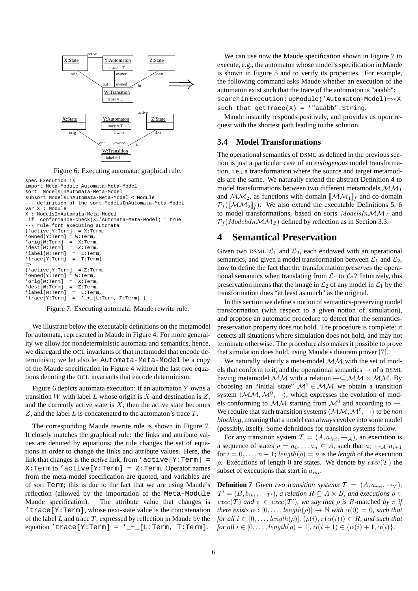

Figure 6: Executing automata: graphical rule.

spec Execution is import Meta-Module Automata-Meta-Model sort ModelsInAutomata-Meta-Model subsort ModelsInAutomata-Meta-Model < Module definition of the sort ModelsInAutomata-Meta-Model var X : Module X : ModelsInAutomata-Meta-Model if conformance-check(X,'Automata-Meta-Model) = true --- rule fort executing automata ('active[Y:Term] = X:Term, ,<br>'owned[Y:Term] = W:Term,<br>'oriq[W:Term] = X:Term, 'orig[W:Term] = X:Term, 'dest[W:Term] 'label[W:Term] = L:Term, 'trace[Y:Term] = T:Term) => ('active[Y:Term] = Z:Term, /owned[Y:Term] = W:Term,<br>'orig[W:Term] = X:Term 'orig[W:Term] = X:Term, 'dest[W:Term] 'label[W:Term] =<br>'trace[Y:Term] =  $L:Term,$ <br>' + [L:Term, T:Term] ) .

Figure 7: Executing automata: Maude rewrite rule.

We illustrate below the executable definitions on the metamodel for automata, represented in Maude in Figure 4. For more generality we allow for nondeterministic automata and semantics, hence, we disregard the OCL invariants of that metamodel that encode determinism; we let also let Automata-Meta-Model be a copy of the Maude specification in Figure 4 without the last two equations denoting the OCL invariants that encode determinism.

Figure 6 depicts automata execution: if an automaton  $Y$  owns a transition W with label L whose origin is X and destination is  $Z$ , and the currently active state is  $X$ , then the active state becomes Z, and the label  $L$  is concatenated to the automaton's trace  $T$ .

The corresponding Maude rewrite rule is shown in Figure 7. It closely matches the graphical rule: the links and attribute values are denoted by equations; the rule changes the set of equations in order to change the links and attribute values. Here, the link that changes is the *active* link, from 'active [Y:Term] =  $X:Term$  to 'active[Y:Term] = Z:Term. Operator names from the meta-model specification are quoted, and variables are of sort Term; this is due to the fact that we are using Maude's reflection (allowed by the importation of the Meta-Module Maude specification). The attribute value that changes is 'trace[Y:Term], whose next-state value is the concatenation of the label  $L$  and trace  $T$ , expressed by reflection in Maude by the equation 'trace[Y:Term] =  $'$  -+ [L:Term, T:Term].

We can use now the Maude specification shown in Figure 7 to execute, e.g., the automaton whose model's specification in Maude is shown in Figure 5 and to verify its properties. For example, the following command asks Maude whether an execution of the automaton exist such that the trace of the automaton is "aaabb":

search in Execution: upModule('Automaton-Model)⇒∗X such that  $q$ etTrace $(X) = '$ "aaabb". String.

Maude instantly responds positively, and provides us upon request with the shortest path leading to the solution.

#### **3.4 Model Transformations**

The operational semantics of DSML as defined in the previous section is just a particular case of an *endogenous* model transformation, i.e., a transformation where the source and target metamodels are the same. We naturally extend the abstract Definition 4 to model transformations between two different metamodels  $\mathcal{MM}_1$ and  $\mathcal{MM}_2$ , as functions with domain  $\|\mathcal{MM}_1\|_f$  and co-domain  $\mathcal{P}_f(\llbracket \mathcal{M} \mathcal{M}_2 \rrbracket_f)$ . We also extend the executable Definitions 5, 6 to model transformations, based on sorts  $\textit{ModelsInMM}_1$  and  $P_f(ModelsInMM_2)$  defined by reflection as in Section 3.3.

## **4 Semantical Preservation**

Given two DSML  $\mathcal{L}_1$  and  $\mathcal{L}_2$ , each endowed with an operational semantics, and given a model transformation between  $\mathcal{L}_1$  and  $\mathcal{L}_2$ , how to define the fact that the transformation *preserves* the operational semantics when translating from  $\mathcal{L}_1$  to  $\mathcal{L}_2$ ? Intuitively, this preservation means that the image in  $\mathcal{L}_2$  of any model in  $\mathcal{L}_1$  by the transformation does "at least as much" as the original.

In this section we define a notion of semantics-preserving model transformation (with respect to a given notion of simulation), and propose an automatic procedure to detect that the semanticspreservation property does not hold. The procedure is complete: it detects all situations where simulation does not hold, and may not terminate otherwise. The procedure also makes it possible to prove that simulation does hold, using Maude's theorem prover [7].

We naturally identify a meta-model  $MM$  with the set of models that conform to it, and the operational semantics  $\rightarrow$  of a DSML having metamodel MM with a relation  $\rightarrow \subseteq M \rightarrow M \times M$ . By choosing an "initial state"  $\mathcal{M}^0 \in \mathcal{MM}$  we obtain a transition system  $\langle M,M, M^0, \rightarrow \rangle$ , which expresses the evolution of models conforming to  $\mathcal{MM}$  starting from  $\mathcal{M}^0$  and according to  $\rightarrow$ . We require that such transition systems  $\langle M, M^0, \rightarrow \rangle$  to be *non blocking*, meaning that a model can always evolve into some model (possibly, itself). Some definitions for transition systems follow.

For any transition system  $\mathcal{T} = (A, a_{ini}, \rightarrow_A)$ , an execution is a sequence of states  $\rho = a_0, \ldots a_n \in A$ , such that  $a_i \rightarrow_A a_{i+1}$ for  $i = 0, \ldots, n - 1$ ;  $length(\rho) = n$  is the *length* of the execution ρ. Executions of length 0 are states. We denote by  $exec(T)$  the subset of executions that start in  $a_{ini}$ .

**Definition 7** *Given two transition systems*  $\mathcal{T} = (A, a_{ini}, \rightarrow_T)$ *,*  $\mathcal{T}' = (B, b_{ini}, \rightarrow_{\mathcal{T}'})$ , a relation  $R \subseteq A \times B$ , and executions  $\rho \in$  $exec(T)$  and  $\pi \in exec(T')$ , we say that  $\rho$  is R-matched by  $\pi$  if *there exists*  $\alpha : [0, \ldots, \text{length}(\rho)] \rightarrow \mathbb{N}$  *with*  $\alpha(0) = 0$ *, such that for all*  $i \in [0, \ldots, \text{length}(\rho)], (\rho(i), \pi(\alpha(i))) \in R$ *, and such that for all*  $i \in [0, ..., length(\rho) - 1], \alpha(i + 1) \in {\alpha(i) + 1, \alpha(i)}.$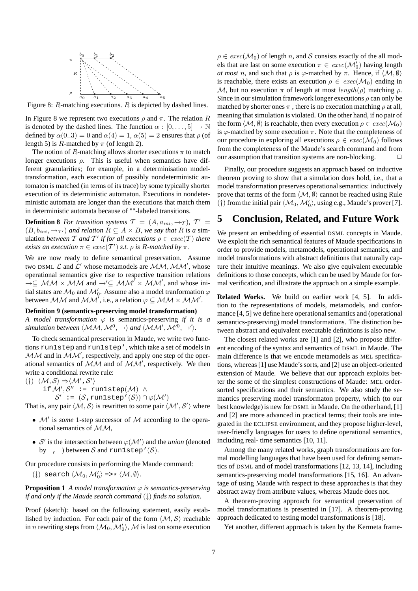

Figure 8: R-matching executions. R is depicted by dashed lines.

In Figure 8 we represent two executions  $\rho$  and  $\pi$ . The relation R is denoted by the dashed lines. The function  $\alpha : [0, \ldots, 5] \rightarrow \mathbb{N}$ defined by  $\alpha(0..3) = 0$  and  $\alpha(4) = 1$ ,  $\alpha(5) = 2$  ensures that  $\rho$  (of length 5) is R-matched by  $\pi$  (of length 2).

The notion of R-matching allows shorter executions  $\pi$  to match longer executions  $\rho$ . This is useful when semantics have different granularities; for example, in a determinisation modeltransformation, each execution of possibly nondeterministic automaton is matched (in terms of its trace) by some typically shorter execution of its deterministic automaton. Executions in nondeterministic automata are longer than the executions that match them in deterministic automata because of ""-labeled transitions.

**Definition 8** For transition systems  $\mathcal{T} = (A, a_{ini}, \rightarrow_T)$ ,  $\mathcal{T}' =$  $(B, b_{ini}, \rightarrow_{T'})$  *and relation*  $R \subseteq A \times B$ *, we say that* R *is a* simulation *between*  $\mathcal T$  and  $\mathcal T'$  if for all executions  $\rho \in exec(\mathcal T)$  there *exists an execution*  $\pi \in exec(T')$  *s.t.*  $\rho$  *is R*-matched by  $\pi$ .

We are now ready to define semantical preservation. Assume two DSML  $\mathcal L$  and  $\mathcal L'$  whose metamodels are  $\mathcal MM$ ,  $\mathcal MM'$ , whose operational semantics give rise to respective transition relations  $\rightarrow \subseteq MM \times MM$  and  $\rightarrow' \subseteq MM' \times MM'$ , and whose initial states are  $\mathcal{M}_0$  and  $\mathcal{M}'_0$ . Assume also a model tranformation  $\varphi$ between  ${\cal MM}$  and  ${\cal MM}'$ , i.e., a relation  $\varphi\subseteq{\cal MM}\times{\cal MM}'$ .

#### **Definition 9 (semantics-preserving model transformation)**

*A model transformation*  $\varphi$  *is* semantics-preserving *if it is a* simulation between  $\langle$   $\mathcal{MM}, \mathcal{M}^0, \rightarrow \rangle$  and  $\langle$   $\mathcal{MM}', \mathcal{M}'^0, \rightarrow' \rangle$ .

To check semantical preservation in Maude, we write two functions run1step and run1step', which take a set of models in  $M\mathcal{M}$  and in  $\mathcal{M}\mathcal{M}'$ , respectively, and apply one step of the operational semantics of  $MM$  and of  $MM'$ , respectively. We then write a conditional rewrite rule:

(†)  $\langle M, S \rangle \Rightarrow \langle M', S' \rangle$ 

if  $\mathcal{M}', \mathcal{S}''$  := runlstep $(\mathcal{M})$   $\wedge$ 

 $\mathcal{S}'$  :=  $(\mathcal{S}, \text{run1step'}(\mathcal{S})) \cap \varphi(\mathcal{M}')$ 

That is, any pair  $\langle \mathcal{M}, \mathcal{S} \rangle$  is rewritten to some pair  $\langle \mathcal{M}', \mathcal{S}' \rangle$  where

- M′ is *some* 1-step successor of M according to the operational semantics of MM,
- $S'$  is the intersection between  $\varphi(M')$  and the *union* (denoted by  $\Box$ ,  $\Box$ ) between S and runlstep'(S).

Our procedure consists in performing the Maude command:

( $\ddagger$ ) search  $\langle \mathcal{M}_0, \mathcal{M}'_0 \rangle \Rightarrow * \langle \mathcal{M}, \emptyset \rangle$ .

**Proposition 1** *A model transformation*  $\varphi$  *is semantics-preserving if and only if the Maude search command* (‡) *finds no solution.*

Proof (sketch): based on the following statement, easily established by induction. For each pair of the form  $\langle \mathcal{M}, \mathcal{S} \rangle$  reachable in *n* rewriting steps from  $\langle \mathcal{M}_0, \mathcal{M}'_0 \rangle$ ,  $\mathcal{M}$  is last on some execution

 $\rho \in exec(\mathcal{M}_0)$  of length n, and S consists exactly of the all models that are last on some execution  $\pi \in exec(\mathcal{M}'_0)$  having length *at most* n, and such that  $\rho$  is  $\varphi$ -matched by  $\pi$ . Hence, if  $\langle M, \emptyset \rangle$ is reachable, there exists an execution  $\rho \in exec(\mathcal{M}_0)$  ending in M, but no execution  $\pi$  of length at most length( $\rho$ ) matching  $\rho$ . Since in our simulation framework longer executions  $\rho$  can only be matched by shorter ones  $\pi$ , there is no execution matching  $\rho$  at all, meaning that simulation is violated. On the other hand, if no pair of the form  $\langle M, \emptyset \rangle$  is reachable, then every execution  $\rho \in exec(M_0)$ is  $\varphi$ -matched by some execution  $\pi$ . Note that the completeness of our procedure in exploring all executions  $\rho \in exec(\mathcal{M}_0)$  follows from the completeness of the Maude's search command and from our assumption that transition systems are non-blocking.

Finally, our procedure suggests an approach based on inductive theorem proving to show that a simulation does hold, i.e., that a model transformation preserves operational semantics: inductively prove that terms of the form  $\langle M, \emptyset \rangle$  cannot be reached using Rule (†) from the initial pair  $\langle \mathcal{M}_0, \mathcal{M}'_0 \rangle$ , using e.g., Maude's prover [7].

## **5 Conclusion, Related, and Future Work**

We present an embedding of essential DSML concepts in Maude. We exploit the rich semantical features of Maude specifications in order to provide models, metamodels, operational semantics, and model transformations with abstract definitions that naturally capture their intuitive meanings. We also give equivalent executable definitions to those concepts, which can be used by Maude for formal verification, and illustrate the approach on a simple example.

**Related Works.** We build on earlier work [4, 5]. In addition to the representations of models, metamodels, and conformance [4, 5] we define here operational semantics and (operational semantics-preserving) model transformations. The distinction between abstract and equivalent executable definitions is also new.

The closest related works are [1] and [2], who propose different encoding of the syntax and semantics of DSML in Maude. The main difference is that we encode metamodels as MEL specifications, whereas [1] use Maude's sorts, and [2] use an object-oriented extension of Maude. We believe that our approach exploits better the some of the simplest constructions of Maude: MEL ordersorted specifications and their semantics. We also study the semantics preserving model transformaton property, which (to our best knowledge) is new for DSML in Maude. On the other hand, [1] and [2] are more advanced in practical terms; their tools are integrated in the ECLIPSE environment, and they propose higher-level, user-friendly languages for users to define operational semantics, including real- time semantics [10, 11].

Among the many related works, graph transformations are formal modelling languages that have been used for defining semantics of DSML and of model transformations [12, 13, 14], including semantics-preserving model transformations [15, 16]. An advantage of using Maude with respect to these approaches is that they abstract away from attribute values, whereas Maude does not.

A theorem-proving approach for semantical preservation of model transformations is presented in [17]. A theorem-proving approach dedicated to testing model transformations is [18].

Yet another, different approach is taken by the Kermeta frame-